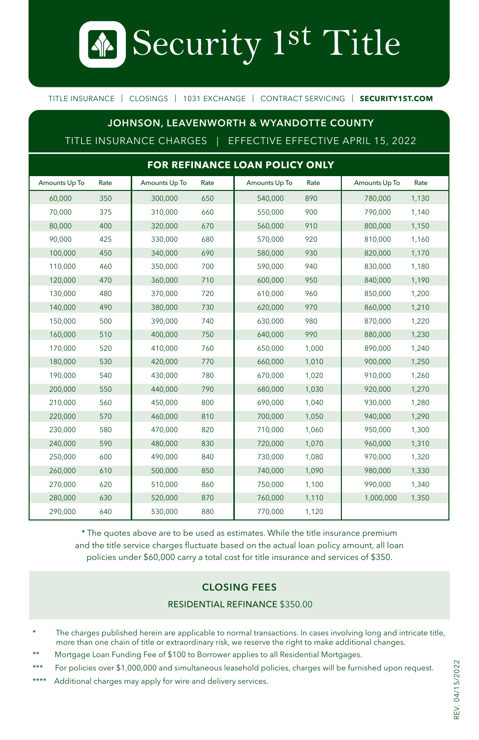Security 1st Title

TITLE INSURANCE | CLOSINGS | 1031 EXCHANGE | CONTRACT SERVICING | **SECURITY1ST.COM**

## **JOHNSON, LEAVENWORTH & WYANDOTTE COUNTY**

TITLE INSURANCE CHARGES | EFFECTIVE EFFECTIVE APRIL 15, 2022

| FOR REFINANCE LOAN POLICY ONLY |      |               |      |               |       |               |       |
|--------------------------------|------|---------------|------|---------------|-------|---------------|-------|
| Amounts Up To                  | Rate | Amounts Up To | Rate | Amounts Up To | Rate  | Amounts Up To | Rate  |
| 60,000                         | 350  | 300,000       | 650  | 540,000       | 890   | 780,000       | 1,130 |
| 70,000                         | 375  | 310.000       | 660  | 550.000       | 900   | 790.000       | 1.140 |
| 80,000                         | 400  | 320,000       | 670  | 560,000       | 910   | 800,000       | 1,150 |
| 90.000                         | 425  | 330.000       | 680  | 570,000       | 920   | 810.000       | 1,160 |
| 100,000                        | 450  | 340,000       | 690  | 580,000       | 930   | 820,000       | 1,170 |
| 110,000                        | 460  | 350,000       | 700  | 590,000       | 940   | 830,000       | 1,180 |
| 120,000                        | 470  | 360,000       | 710  | 600,000       | 950   | 840,000       | 1,190 |
| 130,000                        | 480  | 370,000       | 720  | 610,000       | 960   | 850,000       | 1,200 |
| 140,000                        | 490  | 380,000       | 730  | 620,000       | 970   | 860,000       | 1,210 |
| 150,000                        | 500  | 390.000       | 740  | 630,000       | 980   | 870.000       | 1,220 |
| 160,000                        | 510  | 400,000       | 750  | 640,000       | 990   | 880,000       | 1,230 |
| 170,000                        | 520  | 410.000       | 760  | 650,000       | 1,000 | 890.000       | 1,240 |
| 180,000                        | 530  | 420,000       | 770  | 660,000       | 1,010 | 900,000       | 1,250 |
| 190,000                        | 540  | 430,000       | 780  | 670,000       | 1,020 | 910,000       | 1,260 |
| 200,000                        | 550  | 440,000       | 790  | 680,000       | 1,030 | 920,000       | 1,270 |
| 210,000                        | 560  | 450,000       | 800  | 690,000       | 1,040 | 930,000       | 1,280 |
| 220,000                        | 570  | 460,000       | 810  | 700,000       | 1,050 | 940,000       | 1,290 |
| 230.000                        | 580  | 470.000       | 820  | 710.000       | 1,060 | 950.000       | 1,300 |
| 240,000                        | 590  | 480,000       | 830  | 720,000       | 1,070 | 960,000       | 1,310 |
| 250,000                        | 600  | 490,000       | 840  | 730,000       | 1,080 | 970,000       | 1,320 |
| 260,000                        | 610  | 500,000       | 850  | 740,000       | 1,090 | 980,000       | 1,330 |
| 270,000                        | 620  | 510,000       | 860  | 750,000       | 1,100 | 990,000       | 1,340 |
| 280,000                        | 630  | 520,000       | 870  | 760,000       | 1,110 | 1,000,000     | 1,350 |
| 290,000                        | 640  | 530,000       | 880  | 770,000       | 1,120 |               |       |

\* The quotes above are to be used as estimates. While the title insurance premium and the title service charges fluctuate based on the actual loan policy amount, all loan policies under \$60,000 carry a total cost for title insurance and services of \$350.

# **CLOSING FEES**

#### RESIDENTIAL REFINANCE \$350.00

The charges published herein are applicable to normal transactions. In cases involving long and intricate title, more than one chain of title or extraordinary risk, we reserve the right to make additional changes.

Mortgage Loan Funding Fee of \$100 to Borrower applies to all Residential Mortgages.

\*\*\* For policies over \$1,000,000 and simultaneous leasehold policies, charges will be furnished upon request.

\*\*\*\* Additional charges may apply for wire and delivery services.